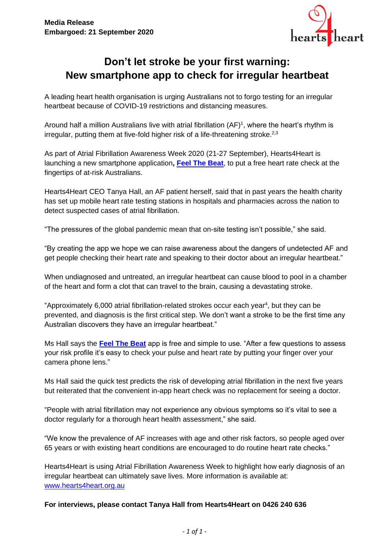

# **Don't let stroke be your first warning: New smartphone app to check for irregular heartbeat**

A leading heart health organisation is urging Australians not to forgo testing for an irregular heartbeat because of COVID-19 restrictions and distancing measures.

Around half a million Australians live with atrial fibrillation  $(AF)^1$ , where the heart's rhythm is irregular, putting them at five-fold higher risk of a life-threatening stroke.<sup>2,3</sup>

As part of Atrial Fibrillation Awareness Week 2020 (21-27 September), Hearts4Heart is launching a new smartphone application**, [Feel The Beat](https://apps.apple.com/au/app/feel-the-beat/id1407130893)**, to put a free heart rate check at the fingertips of at-risk Australians.

Hearts4Heart CEO Tanya Hall, an AF patient herself, said that in past years the health charity has set up mobile heart rate testing stations in hospitals and pharmacies across the nation to detect suspected cases of atrial fibrillation.

"The pressures of the global pandemic mean that on-site testing isn't possible," she said.

"By creating the app we hope we can raise awareness about the dangers of undetected AF and get people checking their heart rate and speaking to their doctor about an irregular heartbeat."

When undiagnosed and untreated, an irregular heartbeat can cause blood to pool in a chamber of the heart and form a clot that can travel to the brain, causing a devastating stroke.

"Approximately 6,000 atrial fibrillation-related strokes occur each year<sup>4</sup>, but they can be prevented, and diagnosis is the first critical step. We don't want a stroke to be the first time any Australian discovers they have an irregular heartbeat."

Ms Hall says the **[Feel The Beat](https://play.google.com/store/apps/details?id=au.com.heartbug.ftb2&hl=en_US)** app is free and simple to use. "After a few questions to assess your risk profile it's easy to check your pulse and heart rate by putting your finger over your camera phone lens."

Ms Hall said the quick test predicts the risk of developing atrial fibrillation in the next five years but reiterated that the convenient in-app heart check was no replacement for seeing a doctor.

"People with atrial fibrillation may not experience any obvious symptoms so it's vital to see a doctor regularly for a thorough heart health assessment," she said.

"We know the prevalence of AF increases with age and other risk factors, so people aged over 65 years or with existing heart conditions are encouraged to do routine heart rate checks."

Hearts4Heart is using Atrial Fibrillation Awareness Week to highlight how early diagnosis of an irregular heartbeat can ultimately save lives. More information is available at: [www.hearts4heart.org.au](http://www.hearts4heart.org.au/)

#### **For interviews, please contact Tanya Hall from Hearts4Heart on 0426 240 636**